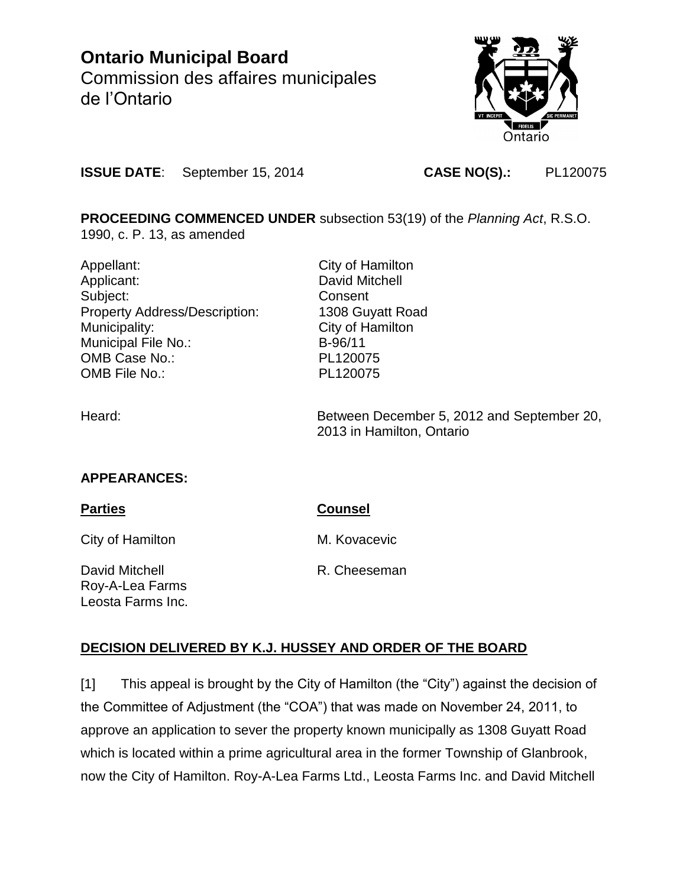# **Ontario Municipal Board** Commission des affaires municipales de l'Ontario



**ISSUE DATE**: September 15, 2014 **CASE NO(S).:** PL120075

**PROCEEDING COMMENCED UNDER** subsection 53(19) of the *Planning Act*, R.S.O.

1990, c. P. 13, as amended

Appellant: City of Hamilton Applicant: David Mitchell Subject: Consent Property Address/Description: 1308 Guyatt Road Municipality: City of Hamilton Municipal File No.: B-96/11 OMB Case No.: PL120075 OMB File No.: PL120075

Heard: Between December 5, 2012 and September 20, 2013 in Hamilton, Ontario

## **APPEARANCES:**

Leosta Farms Inc.

| <b>Parties</b>                    | <b>Counsel</b> |
|-----------------------------------|----------------|
| City of Hamilton                  | M. Kovacevic   |
| David Mitchell<br>Roy-A-Lea Farms | R. Cheeseman   |

## **DECISION DELIVERED BY K.J. HUSSEY AND ORDER OF THE BOARD**

[1] This appeal is brought by the City of Hamilton (the "City") against the decision of the Committee of Adjustment (the "COA") that was made on November 24, 2011, to approve an application to sever the property known municipally as 1308 Guyatt Road which is located within a prime agricultural area in the former Township of Glanbrook, now the City of Hamilton. Roy-A-Lea Farms Ltd., Leosta Farms Inc. and David Mitchell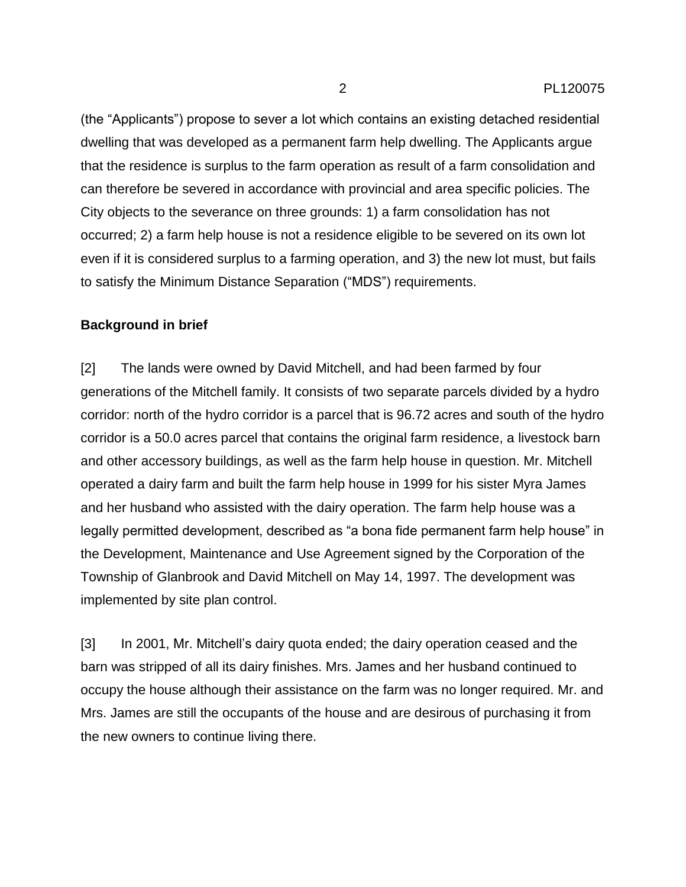(the "Applicants") propose to sever a lot which contains an existing detached residential dwelling that was developed as a permanent farm help dwelling. The Applicants argue that the residence is surplus to the farm operation as result of a farm consolidation and can therefore be severed in accordance with provincial and area specific policies. The City objects to the severance on three grounds: 1) a farm consolidation has not occurred; 2) a farm help house is not a residence eligible to be severed on its own lot even if it is considered surplus to a farming operation, and 3) the new lot must, but fails to satisfy the Minimum Distance Separation ("MDS") requirements.

#### **Background in brief**

[2] The lands were owned by David Mitchell, and had been farmed by four generations of the Mitchell family. It consists of two separate parcels divided by a hydro corridor: north of the hydro corridor is a parcel that is 96.72 acres and south of the hydro corridor is a 50.0 acres parcel that contains the original farm residence, a livestock barn and other accessory buildings, as well as the farm help house in question. Mr. Mitchell operated a dairy farm and built the farm help house in 1999 for his sister Myra James and her husband who assisted with the dairy operation. The farm help house was a legally permitted development, described as "a bona fide permanent farm help house" in the Development, Maintenance and Use Agreement signed by the Corporation of the Township of Glanbrook and David Mitchell on May 14, 1997. The development was implemented by site plan control.

[3] In 2001, Mr. Mitchell's dairy quota ended; the dairy operation ceased and the barn was stripped of all its dairy finishes. Mrs. James and her husband continued to occupy the house although their assistance on the farm was no longer required. Mr. and Mrs. James are still the occupants of the house and are desirous of purchasing it from the new owners to continue living there.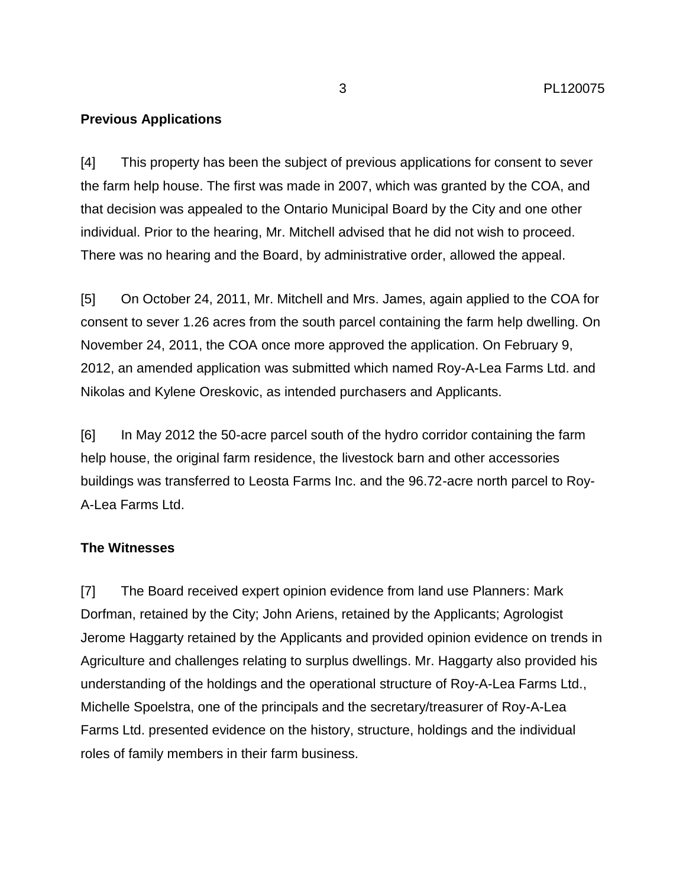## **Previous Applications**

[4] This property has been the subject of previous applications for consent to sever the farm help house. The first was made in 2007, which was granted by the COA, and that decision was appealed to the Ontario Municipal Board by the City and one other individual. Prior to the hearing, Mr. Mitchell advised that he did not wish to proceed. There was no hearing and the Board, by administrative order, allowed the appeal.

[5] On October 24, 2011, Mr. Mitchell and Mrs. James, again applied to the COA for consent to sever 1.26 acres from the south parcel containing the farm help dwelling. On November 24, 2011, the COA once more approved the application. On February 9, 2012, an amended application was submitted which named Roy-A-Lea Farms Ltd. and Nikolas and Kylene Oreskovic, as intended purchasers and Applicants.

[6] In May 2012 the 50-acre parcel south of the hydro corridor containing the farm help house, the original farm residence, the livestock barn and other accessories buildings was transferred to Leosta Farms Inc. and the 96.72-acre north parcel to Roy-A-Lea Farms Ltd.

## **The Witnesses**

[7] The Board received expert opinion evidence from land use Planners: Mark Dorfman, retained by the City; John Ariens, retained by the Applicants; Agrologist Jerome Haggarty retained by the Applicants and provided opinion evidence on trends in Agriculture and challenges relating to surplus dwellings. Mr. Haggarty also provided his understanding of the holdings and the operational structure of Roy-A-Lea Farms Ltd., Michelle Spoelstra, one of the principals and the secretary/treasurer of Roy-A-Lea Farms Ltd. presented evidence on the history, structure, holdings and the individual roles of family members in their farm business.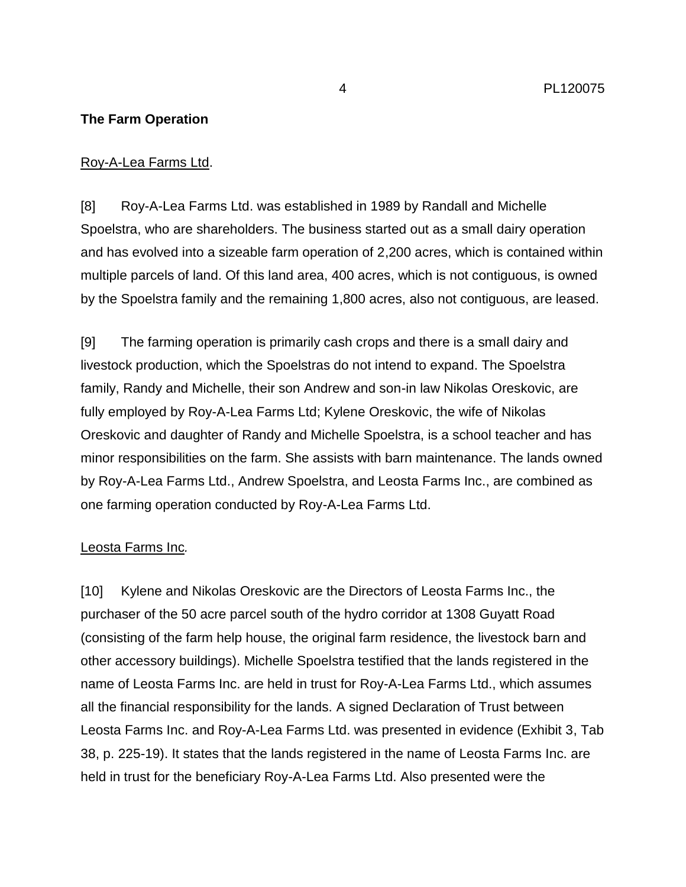## **The Farm Operation**

## Roy-A-Lea Farms Ltd.

[8] Roy-A-Lea Farms Ltd. was established in 1989 by Randall and Michelle Spoelstra, who are shareholders. The business started out as a small dairy operation and has evolved into a sizeable farm operation of 2,200 acres, which is contained within multiple parcels of land. Of this land area, 400 acres, which is not contiguous, is owned by the Spoelstra family and the remaining 1,800 acres, also not contiguous, are leased.

[9] The farming operation is primarily cash crops and there is a small dairy and livestock production, which the Spoelstras do not intend to expand. The Spoelstra family, Randy and Michelle, their son Andrew and son-in law Nikolas Oreskovic, are fully employed by Roy-A-Lea Farms Ltd; Kylene Oreskovic, the wife of Nikolas Oreskovic and daughter of Randy and Michelle Spoelstra, is a school teacher and has minor responsibilities on the farm. She assists with barn maintenance. The lands owned by Roy-A-Lea Farms Ltd., Andrew Spoelstra, and Leosta Farms Inc., are combined as one farming operation conducted by Roy-A-Lea Farms Ltd.

## Leosta Farms Inc*.*

[10] Kylene and Nikolas Oreskovic are the Directors of Leosta Farms Inc., the purchaser of the 50 acre parcel south of the hydro corridor at 1308 Guyatt Road (consisting of the farm help house, the original farm residence, the livestock barn and other accessory buildings). Michelle Spoelstra testified that the lands registered in the name of Leosta Farms Inc. are held in trust for Roy-A-Lea Farms Ltd., which assumes all the financial responsibility for the lands. A signed Declaration of Trust between Leosta Farms Inc. and Roy-A-Lea Farms Ltd. was presented in evidence (Exhibit 3, Tab 38, p. 225-19). It states that the lands registered in the name of Leosta Farms Inc. are held in trust for the beneficiary Roy-A-Lea Farms Ltd. Also presented were the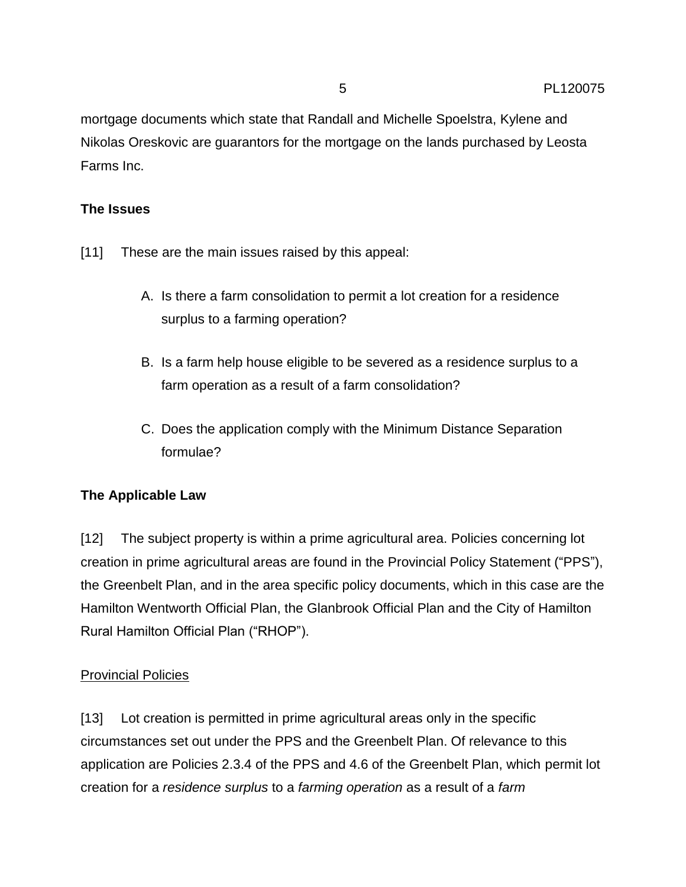mortgage documents which state that Randall and Michelle Spoelstra, Kylene and Nikolas Oreskovic are guarantors for the mortgage on the lands purchased by Leosta Farms Inc.

## **The Issues**

- [11] These are the main issues raised by this appeal:
	- A. Is there a farm consolidation to permit a lot creation for a residence surplus to a farming operation?
	- B. Is a farm help house eligible to be severed as a residence surplus to a farm operation as a result of a farm consolidation?
	- C. Does the application comply with the Minimum Distance Separation formulae?

## **The Applicable Law**

[12] The subject property is within a prime agricultural area. Policies concerning lot creation in prime agricultural areas are found in the Provincial Policy Statement ("PPS"), the Greenbelt Plan, and in the area specific policy documents, which in this case are the Hamilton Wentworth Official Plan, the Glanbrook Official Plan and the City of Hamilton Rural Hamilton Official Plan ("RHOP").

## Provincial Policies

[13] Lot creation is permitted in prime agricultural areas only in the specific circumstances set out under the PPS and the Greenbelt Plan. Of relevance to this application are Policies 2.3.4 of the PPS and 4.6 of the Greenbelt Plan, which permit lot creation for a *residence surplus* to a *farming operation* as a result of a *farm*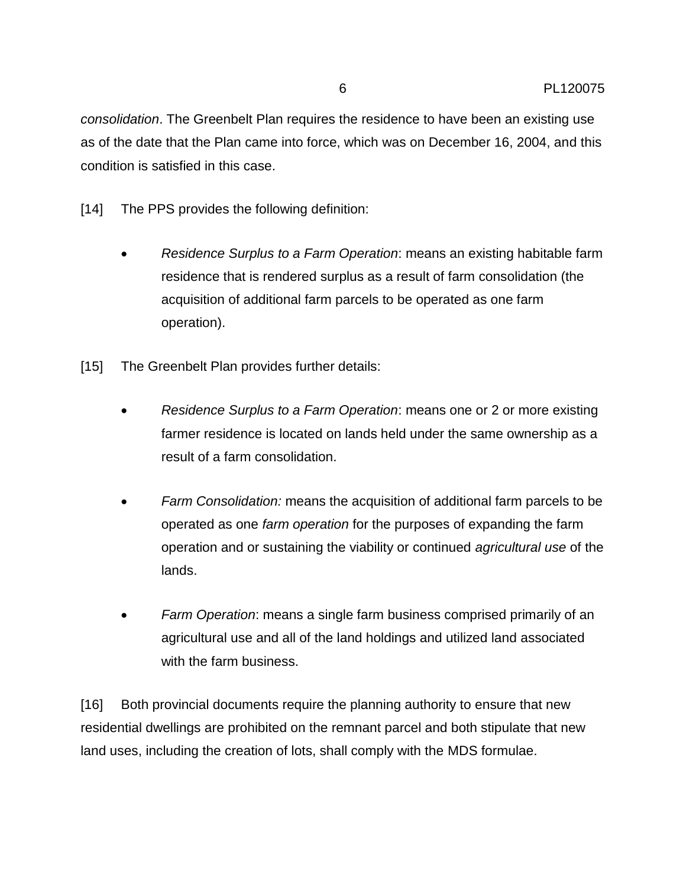*consolidation*. The Greenbelt Plan requires the residence to have been an existing use as of the date that the Plan came into force, which was on December 16, 2004, and this condition is satisfied in this case.

- [14] The PPS provides the following definition:
	- *Residence Surplus to a Farm Operation*: means an existing habitable farm residence that is rendered surplus as a result of farm consolidation (the acquisition of additional farm parcels to be operated as one farm operation).
- [15] The Greenbelt Plan provides further details:
	- *Residence Surplus to a Farm Operation*: means one or 2 or more existing farmer residence is located on lands held under the same ownership as a result of a farm consolidation.
	- *Farm Consolidation:* means the acquisition of additional farm parcels to be operated as one *farm operation* for the purposes of expanding the farm operation and or sustaining the viability or continued *agricultural use* of the lands.
	- *Farm Operation*: means a single farm business comprised primarily of an agricultural use and all of the land holdings and utilized land associated with the farm business.

[16] Both provincial documents require the planning authority to ensure that new residential dwellings are prohibited on the remnant parcel and both stipulate that new land uses, including the creation of lots, shall comply with the MDS formulae.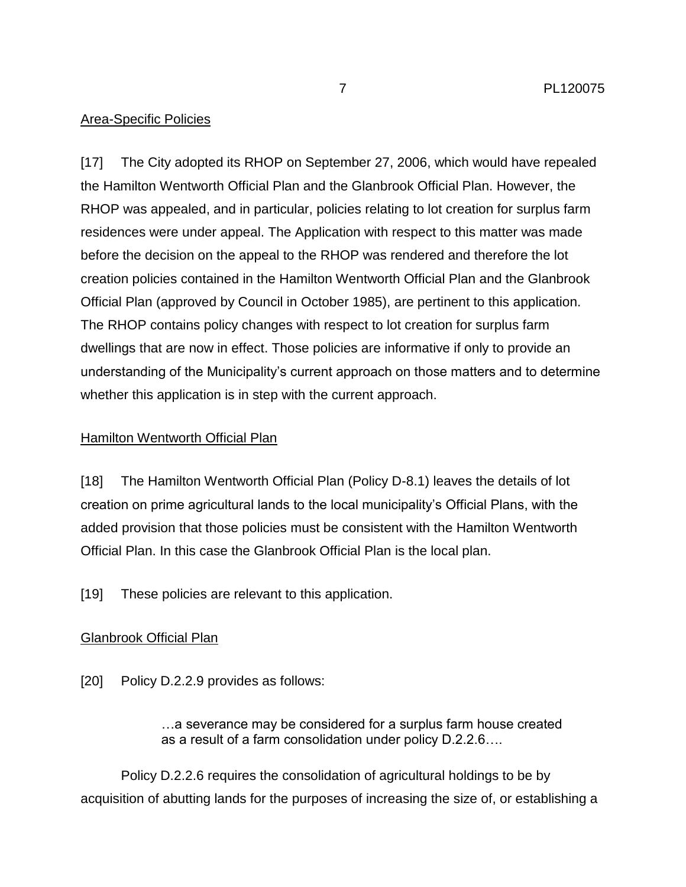## Area-Specific Policies

[17] The City adopted its RHOP on September 27, 2006, which would have repealed the Hamilton Wentworth Official Plan and the Glanbrook Official Plan. However, the RHOP was appealed, and in particular, policies relating to lot creation for surplus farm residences were under appeal. The Application with respect to this matter was made before the decision on the appeal to the RHOP was rendered and therefore the lot creation policies contained in the Hamilton Wentworth Official Plan and the Glanbrook Official Plan (approved by Council in October 1985), are pertinent to this application. The RHOP contains policy changes with respect to lot creation for surplus farm dwellings that are now in effect. Those policies are informative if only to provide an understanding of the Municipality's current approach on those matters and to determine whether this application is in step with the current approach.

## Hamilton Wentworth Official Plan

[18] The Hamilton Wentworth Official Plan (Policy D-8.1) leaves the details of lot creation on prime agricultural lands to the local municipality's Official Plans, with the added provision that those policies must be consistent with the Hamilton Wentworth Official Plan. In this case the Glanbrook Official Plan is the local plan.

[19] These policies are relevant to this application.

## Glanbrook Official Plan

[20] Policy D.2.2.9 provides as follows:

…a severance may be considered for a surplus farm house created as a result of a farm consolidation under policy D.2.2.6….

Policy D.2.2.6 requires the consolidation of agricultural holdings to be by acquisition of abutting lands for the purposes of increasing the size of, or establishing a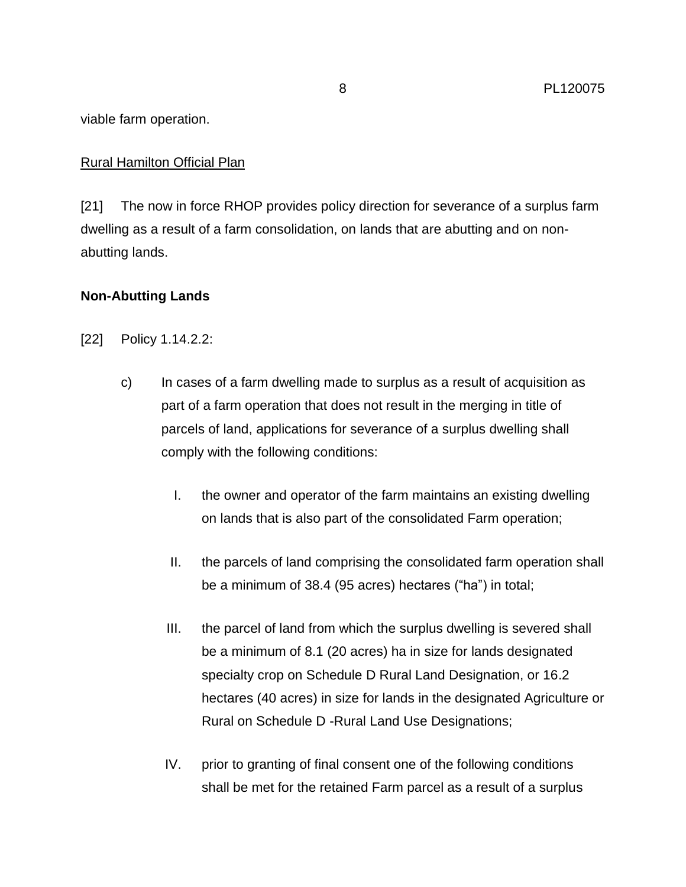viable farm operation.

## Rural Hamilton Official Plan

[21] The now in force RHOP provides policy direction for severance of a surplus farm dwelling as a result of a farm consolidation, on lands that are abutting and on nonabutting lands.

## **Non-Abutting Lands**

- [22] Policy 1.14.2.2:
	- c) In cases of a farm dwelling made to surplus as a result of acquisition as part of a farm operation that does not result in the merging in title of parcels of land, applications for severance of a surplus dwelling shall comply with the following conditions:
		- I. the owner and operator of the farm maintains an existing dwelling on lands that is also part of the consolidated Farm operation;
		- II. the parcels of land comprising the consolidated farm operation shall be a minimum of 38.4 (95 acres) hectares ("ha") in total;
		- III. the parcel of land from which the surplus dwelling is severed shall be a minimum of 8.1 (20 acres) ha in size for lands designated specialty crop on Schedule D Rural Land Designation, or 16.2 hectares (40 acres) in size for lands in the designated Agriculture or Rural on Schedule D -Rural Land Use Designations;
		- IV. prior to granting of final consent one of the following conditions shall be met for the retained Farm parcel as a result of a surplus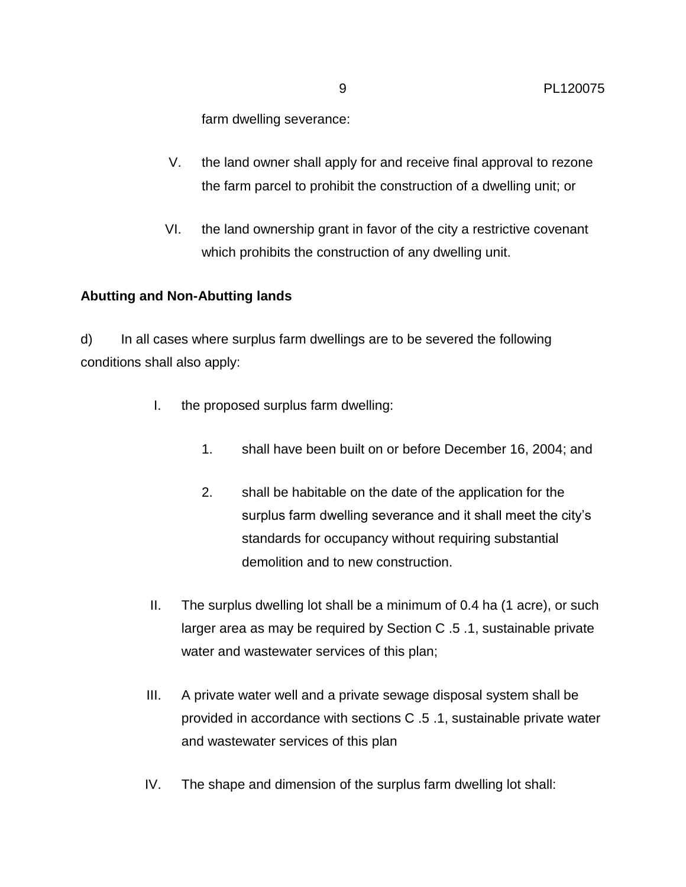farm dwelling severance:

- V. the land owner shall apply for and receive final approval to rezone the farm parcel to prohibit the construction of a dwelling unit; or
- VI. the land ownership grant in favor of the city a restrictive covenant which prohibits the construction of any dwelling unit.

#### **Abutting and Non-Abutting lands**

d) In all cases where surplus farm dwellings are to be severed the following conditions shall also apply:

- I. the proposed surplus farm dwelling:
	- 1. shall have been built on or before December 16, 2004; and
	- 2. shall be habitable on the date of the application for the surplus farm dwelling severance and it shall meet the city's standards for occupancy without requiring substantial demolition and to new construction.
- II. The surplus dwelling lot shall be a minimum of 0.4 ha (1 acre), or such larger area as may be required by Section C .5 .1, sustainable private water and wastewater services of this plan;
- III. A private water well and a private sewage disposal system shall be provided in accordance with sections C .5 .1, sustainable private water and wastewater services of this plan
- IV. The shape and dimension of the surplus farm dwelling lot shall: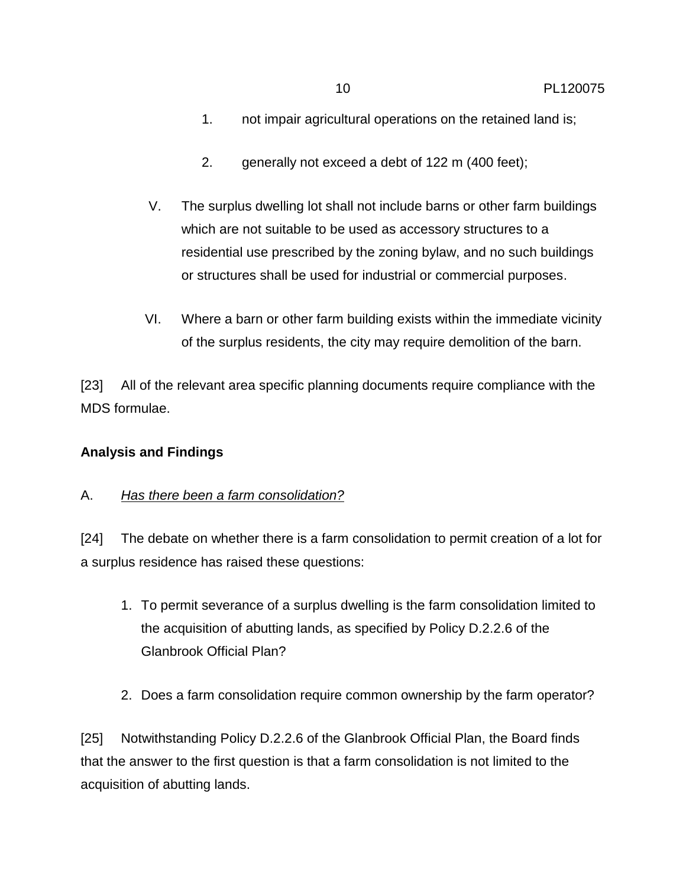- 1. not impair agricultural operations on the retained land is;
- 2. generally not exceed a debt of 122 m (400 feet);
- V. The surplus dwelling lot shall not include barns or other farm buildings which are not suitable to be used as accessory structures to a residential use prescribed by the zoning bylaw, and no such buildings or structures shall be used for industrial or commercial purposes.
- VI. Where a barn or other farm building exists within the immediate vicinity of the surplus residents, the city may require demolition of the barn.

[23] All of the relevant area specific planning documents require compliance with the MDS formulae.

## **Analysis and Findings**

## A. *Has there been a farm consolidation?*

[24] The debate on whether there is a farm consolidation to permit creation of a lot for a surplus residence has raised these questions:

- 1. To permit severance of a surplus dwelling is the farm consolidation limited to the acquisition of abutting lands, as specified by Policy D.2.2.6 of the Glanbrook Official Plan?
- 2. Does a farm consolidation require common ownership by the farm operator?

[25] Notwithstanding Policy D.2.2.6 of the Glanbrook Official Plan, the Board finds that the answer to the first question is that a farm consolidation is not limited to the acquisition of abutting lands.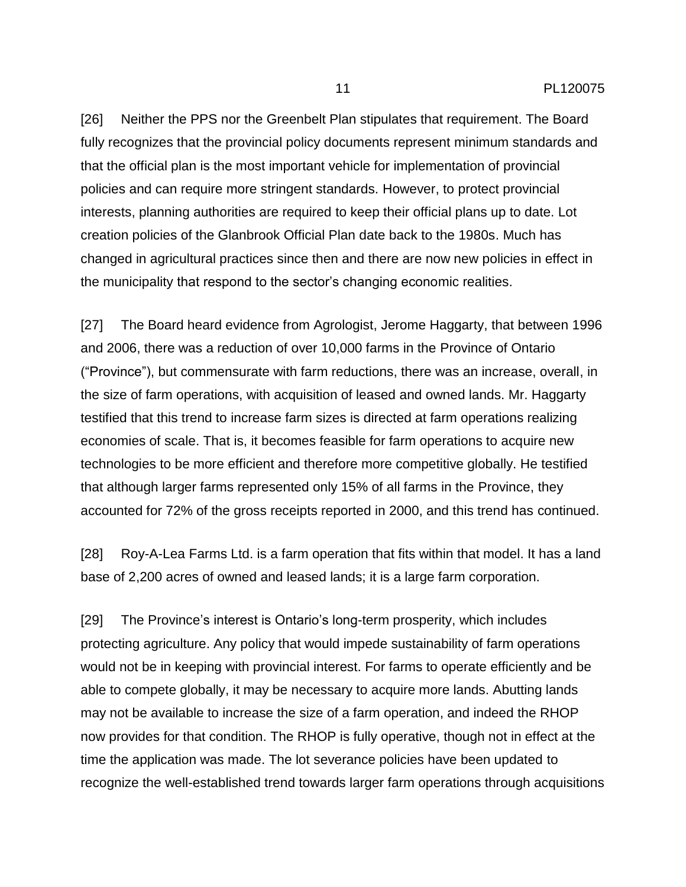[26] Neither the PPS nor the Greenbelt Plan stipulates that requirement. The Board fully recognizes that the provincial policy documents represent minimum standards and that the official plan is the most important vehicle for implementation of provincial policies and can require more stringent standards. However, to protect provincial interests, planning authorities are required to keep their official plans up to date. Lot creation policies of the Glanbrook Official Plan date back to the 1980s. Much has changed in agricultural practices since then and there are now new policies in effect in the municipality that respond to the sector's changing economic realities.

[27] The Board heard evidence from Agrologist, Jerome Haggarty, that between 1996 and 2006, there was a reduction of over 10,000 farms in the Province of Ontario ("Province"), but commensurate with farm reductions, there was an increase, overall, in the size of farm operations, with acquisition of leased and owned lands. Mr. Haggarty testified that this trend to increase farm sizes is directed at farm operations realizing economies of scale. That is, it becomes feasible for farm operations to acquire new technologies to be more efficient and therefore more competitive globally. He testified that although larger farms represented only 15% of all farms in the Province, they accounted for 72% of the gross receipts reported in 2000, and this trend has continued.

[28] Roy-A-Lea Farms Ltd. is a farm operation that fits within that model. It has a land base of 2,200 acres of owned and leased lands; it is a large farm corporation.

[29] The Province's interest is Ontario's long-term prosperity, which includes protecting agriculture. Any policy that would impede sustainability of farm operations would not be in keeping with provincial interest. For farms to operate efficiently and be able to compete globally, it may be necessary to acquire more lands. Abutting lands may not be available to increase the size of a farm operation, and indeed the RHOP now provides for that condition. The RHOP is fully operative, though not in effect at the time the application was made. The lot severance policies have been updated to recognize the well-established trend towards larger farm operations through acquisitions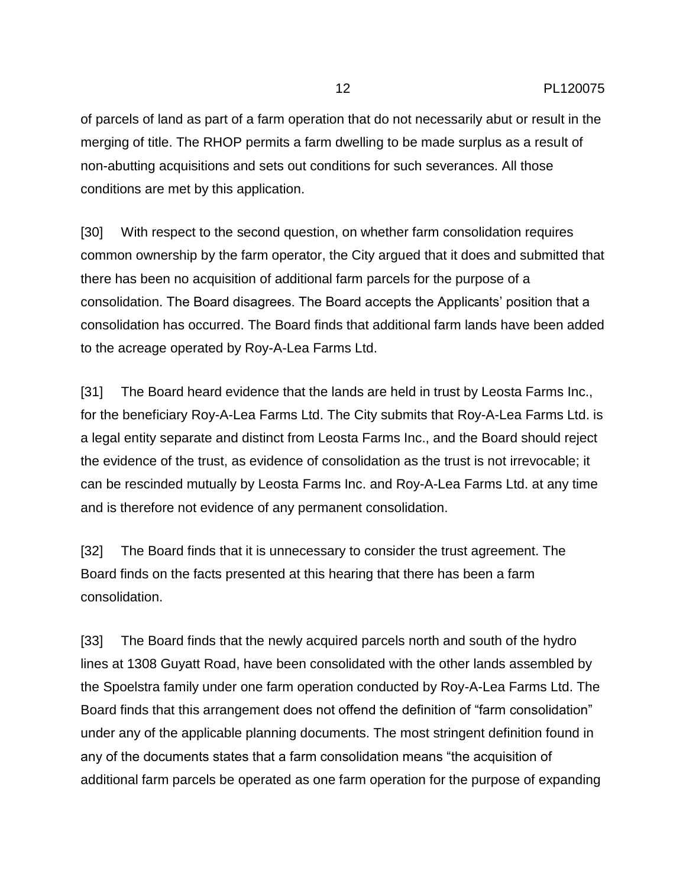of parcels of land as part of a farm operation that do not necessarily abut or result in the merging of title. The RHOP permits a farm dwelling to be made surplus as a result of non-abutting acquisitions and sets out conditions for such severances. All those conditions are met by this application.

[30] With respect to the second question, on whether farm consolidation requires common ownership by the farm operator, the City argued that it does and submitted that there has been no acquisition of additional farm parcels for the purpose of a consolidation. The Board disagrees. The Board accepts the Applicants' position that a consolidation has occurred. The Board finds that additional farm lands have been added to the acreage operated by Roy-A-Lea Farms Ltd.

[31] The Board heard evidence that the lands are held in trust by Leosta Farms Inc., for the beneficiary Roy-A-Lea Farms Ltd. The City submits that Roy-A-Lea Farms Ltd. is a legal entity separate and distinct from Leosta Farms Inc., and the Board should reject the evidence of the trust, as evidence of consolidation as the trust is not irrevocable; it can be rescinded mutually by Leosta Farms Inc. and Roy-A-Lea Farms Ltd. at any time and is therefore not evidence of any permanent consolidation.

[32] The Board finds that it is unnecessary to consider the trust agreement. The Board finds on the facts presented at this hearing that there has been a farm consolidation.

[33] The Board finds that the newly acquired parcels north and south of the hydro lines at 1308 Guyatt Road, have been consolidated with the other lands assembled by the Spoelstra family under one farm operation conducted by Roy-A-Lea Farms Ltd. The Board finds that this arrangement does not offend the definition of "farm consolidation" under any of the applicable planning documents. The most stringent definition found in any of the documents states that a farm consolidation means "the acquisition of additional farm parcels be operated as one farm operation for the purpose of expanding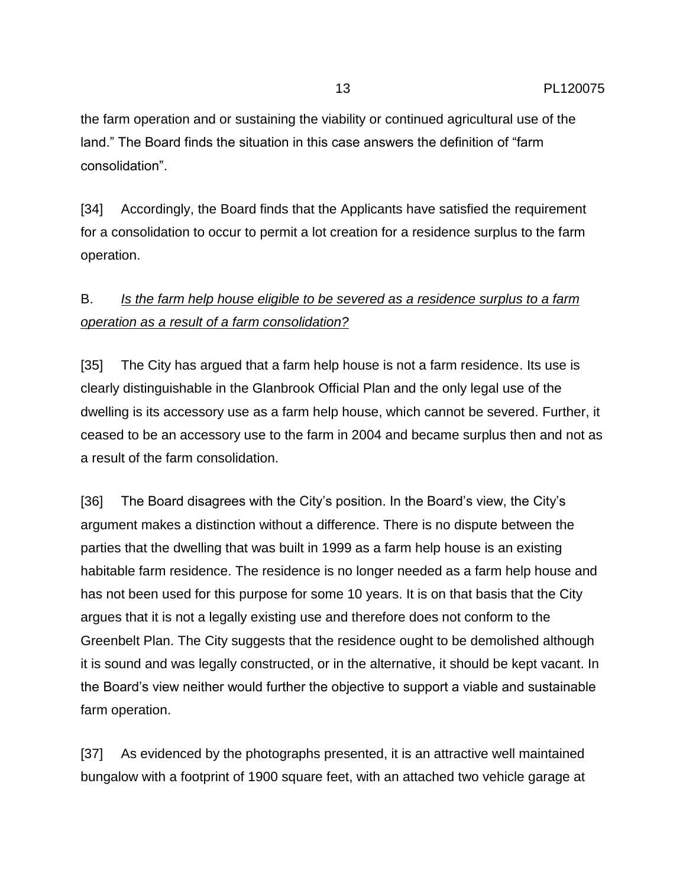the farm operation and or sustaining the viability or continued agricultural use of the land." The Board finds the situation in this case answers the definition of "farm consolidation".

[34] Accordingly, the Board finds that the Applicants have satisfied the requirement for a consolidation to occur to permit a lot creation for a residence surplus to the farm operation.

## B. *Is the farm help house eligible to be severed as a residence surplus to a farm operation as a result of a farm consolidation?*

[35] The City has argued that a farm help house is not a farm residence. Its use is clearly distinguishable in the Glanbrook Official Plan and the only legal use of the dwelling is its accessory use as a farm help house, which cannot be severed. Further, it ceased to be an accessory use to the farm in 2004 and became surplus then and not as a result of the farm consolidation.

[36] The Board disagrees with the City's position. In the Board's view, the City's argument makes a distinction without a difference. There is no dispute between the parties that the dwelling that was built in 1999 as a farm help house is an existing habitable farm residence. The residence is no longer needed as a farm help house and has not been used for this purpose for some 10 years. It is on that basis that the City argues that it is not a legally existing use and therefore does not conform to the Greenbelt Plan. The City suggests that the residence ought to be demolished although it is sound and was legally constructed, or in the alternative, it should be kept vacant. In the Board's view neither would further the objective to support a viable and sustainable farm operation.

[37] As evidenced by the photographs presented, it is an attractive well maintained bungalow with a footprint of 1900 square feet, with an attached two vehicle garage at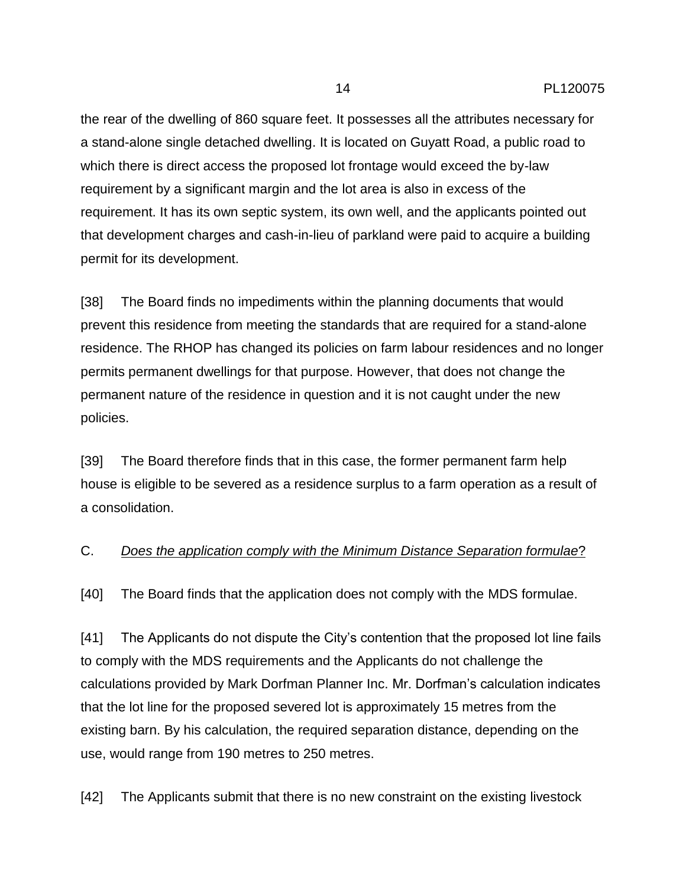the rear of the dwelling of 860 square feet. It possesses all the attributes necessary for a stand-alone single detached dwelling. It is located on Guyatt Road, a public road to which there is direct access the proposed lot frontage would exceed the by-law requirement by a significant margin and the lot area is also in excess of the requirement. It has its own septic system, its own well, and the applicants pointed out that development charges and cash-in-lieu of parkland were paid to acquire a building permit for its development.

[38] The Board finds no impediments within the planning documents that would prevent this residence from meeting the standards that are required for a stand-alone residence. The RHOP has changed its policies on farm labour residences and no longer permits permanent dwellings for that purpose. However, that does not change the permanent nature of the residence in question and it is not caught under the new policies.

[39] The Board therefore finds that in this case, the former permanent farm help house is eligible to be severed as a residence surplus to a farm operation as a result of a consolidation.

## C. *Does the application comply with the Minimum Distance Separation formulae*?

[40] The Board finds that the application does not comply with the MDS formulae.

[41] The Applicants do not dispute the City's contention that the proposed lot line fails to comply with the MDS requirements and the Applicants do not challenge the calculations provided by Mark Dorfman Planner Inc. Mr. Dorfman's calculation indicates that the lot line for the proposed severed lot is approximately 15 metres from the existing barn. By his calculation, the required separation distance, depending on the use, would range from 190 metres to 250 metres.

[42] The Applicants submit that there is no new constraint on the existing livestock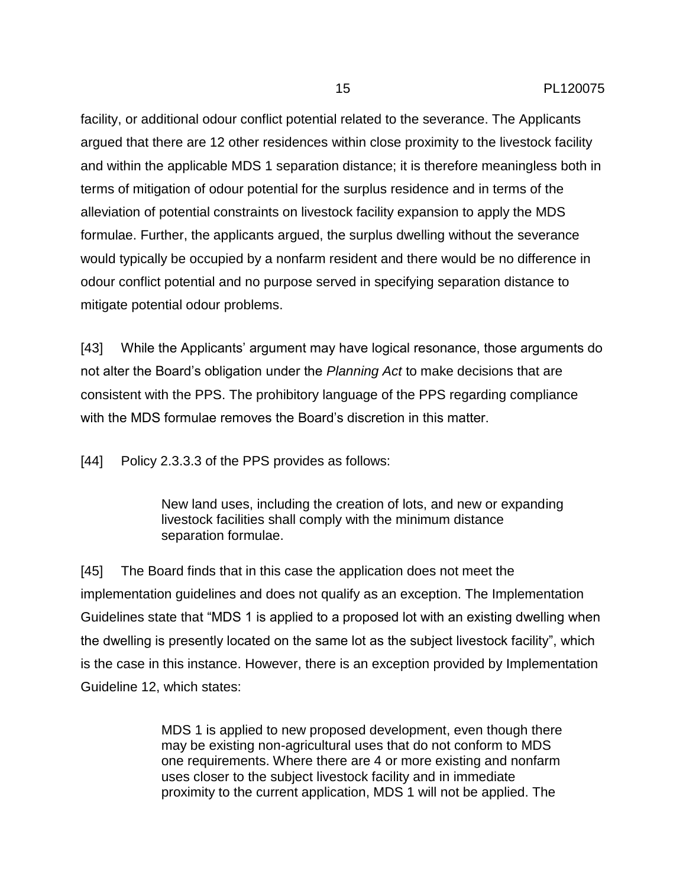facility, or additional odour conflict potential related to the severance. The Applicants argued that there are 12 other residences within close proximity to the livestock facility and within the applicable MDS 1 separation distance; it is therefore meaningless both in terms of mitigation of odour potential for the surplus residence and in terms of the alleviation of potential constraints on livestock facility expansion to apply the MDS formulae. Further, the applicants argued, the surplus dwelling without the severance would typically be occupied by a nonfarm resident and there would be no difference in odour conflict potential and no purpose served in specifying separation distance to mitigate potential odour problems.

[43] While the Applicants' argument may have logical resonance, those arguments do not alter the Board's obligation under the *Planning Act* to make decisions that are consistent with the PPS. The prohibitory language of the PPS regarding compliance with the MDS formulae removes the Board's discretion in this matter.

[44] Policy 2.3.3.3 of the PPS provides as follows:

New land uses, including the creation of lots, and new or expanding livestock facilities shall comply with the minimum distance separation formulae.

[45] The Board finds that in this case the application does not meet the implementation guidelines and does not qualify as an exception. The Implementation Guidelines state that "MDS 1 is applied to a proposed lot with an existing dwelling when the dwelling is presently located on the same lot as the subject livestock facility", which is the case in this instance. However, there is an exception provided by Implementation Guideline 12, which states:

> MDS 1 is applied to new proposed development, even though there may be existing non-agricultural uses that do not conform to MDS one requirements. Where there are 4 or more existing and nonfarm uses closer to the subject livestock facility and in immediate proximity to the current application, MDS 1 will not be applied. The